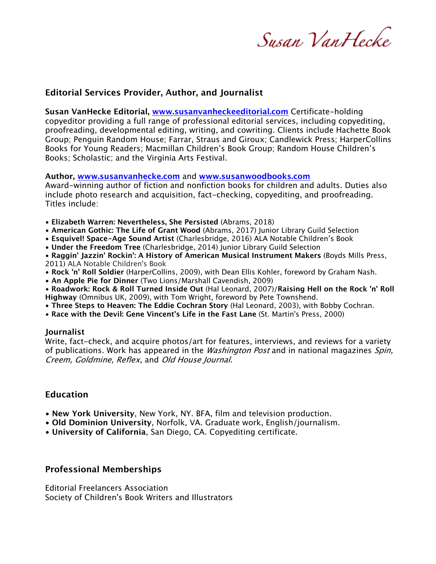Susan VanHecke

## **Editorial Services Provider, Author, and Journalist**

**Susan VanHecke Editorial, www.susanvanheckeeditorial.com** Certificate-holding copyeditor providing a full range of professional editorial services, including copyediting, proofreading, developmental editing, writing, and cowriting. Clients include Hachette Book Group; Penguin Random House; Farrar, Straus and Giroux; Candlewick Press; HarperCollins Books for Young Readers; Macmillan Children's Book Group; Random House Children's Books; Scholastic; and the Virginia Arts Festival.

#### **Author, www.susanvanhecke.com** and **www.susanwoodbooks.com**

Award-winning author of fiction and nonfiction books for children and adults. Duties also include photo research and acquisition, fact-checking, copyediting, and proofreading. Titles include:

- **Elizabeth Warren: Nevertheless, She Persisted** (Abrams, 2018)
- **American Gothic: The Life of Grant Wood** (Abrams, 2017) Junior Library Guild Selection
- **Esquivel! Space-Age Sound Artist** (Charlesbridge, 2016) ALA Notable Children's Book
- **Under the Freedom Tree** (Charlesbridge, 2014) Junior Library Guild Selection
- **Raggin' Jazzin' Rockin': A History of American Musical Instrument Makers** (Boyds Mills Press, 2011) ALA Notable Children's Book
- **Rock 'n' Roll Soldier** (HarperCollins, 2009), with Dean Ellis Kohler, foreword by Graham Nash.
- **An Apple Pie for Dinner** (Two Lions/Marshall Cavendish, 2009)

• **Roadwork: Rock & Roll Turned Inside Out** (Hal Leonard, 2007)/**Raising Hell on the Rock 'n' Roll Highway** (Omnibus UK, 2009), with Tom Wright, foreword by Pete Townshend.

- **Three Steps to Heaven: The Eddie Cochran Story** (Hal Leonard, 2003), with Bobby Cochran.
- **Race with the Devil: Gene Vincent's Life in the Fast Lane** (St. Martin's Press, 2000)

#### **Journalist**

Write, fact-check, and acquire photos/art for features, interviews, and reviews for a variety of publications. Work has appeared in the *Washington Post* and in national magazines *Spin*, Creem, Goldmine, Reflex, and Old House Journal.

## **Education**

- **New York University**, New York, NY. BFA, film and television production.
- **Old Dominion University**, Norfolk, VA. Graduate work, English/journalism.
- **University of California**, San Diego, CA. Copyediting certificate.

## **Professional Memberships**

Editorial Freelancers Association Society of Children's Book Writers and Illustrators